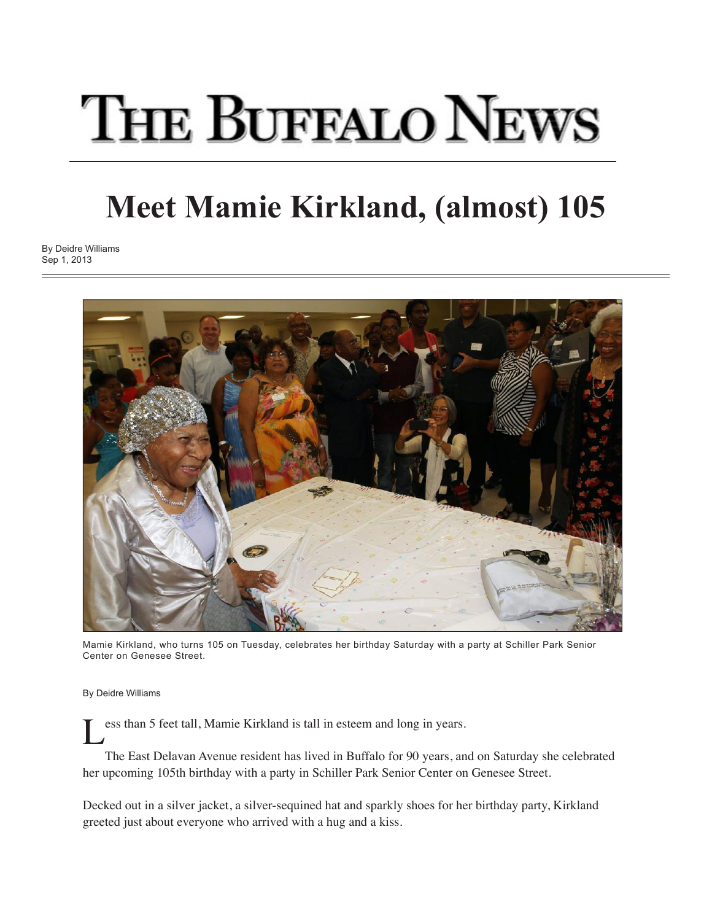## **THE BUFFALO NEWS**

## **Meet Mamie Kirkland, (almost) 105**

By Deidre Williams Sep 1, 2013



Mamie Kirkland, who turns 105 on Tuesday, celebrates her birthday Saturday with a party at Schiller Park Senior Center on Genesee Street.

By Deidre Williams

ess than 5 feet tall, Mamie Kirkland is tall in esteem and long in years.

 The East Delavan Avenue resident has lived in Buffalo for 90 years, and on Saturday she celebrated her upcoming 105th birthday with a party in Schiller Park Senior Center on Genesee Street.

Decked out in a silver jacket, a silver-sequined hat and sparkly shoes for her birthday party, Kirkland greeted just about everyone who arrived with a hug and a kiss.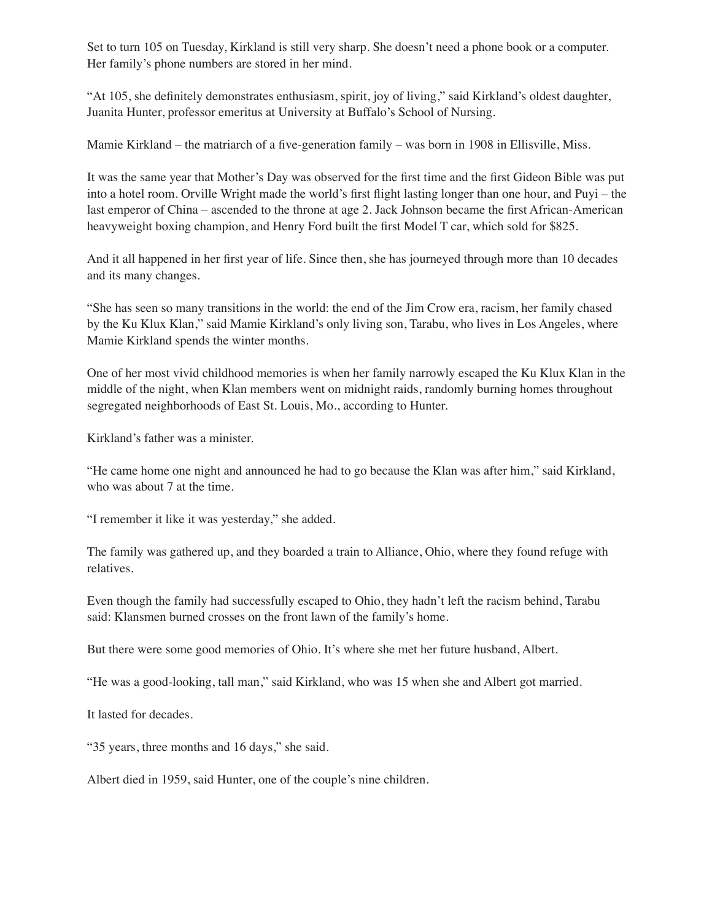Set to turn 105 on Tuesday, Kirkland is still very sharp. She doesn't need a phone book or a computer. Her family's phone numbers are stored in her mind.

"At 105, she definitely demonstrates enthusiasm, spirit, joy of living," said Kirkland's oldest daughter, Juanita Hunter, professor emeritus at University at Buffalo's School of Nursing.

Mamie Kirkland – the matriarch of a five-generation family – was born in 1908 in Ellisville, Miss.

It was the same year that Mother's Day was observed for the first time and the first Gideon Bible was put into a hotel room. Orville Wright made the world's first flight lasting longer than one hour, and Puyi – the last emperor of China – ascended to the throne at age 2. Jack Johnson became the first African-American heavyweight boxing champion, and Henry Ford built the first Model T car, which sold for \$825.

And it all happened in her first year of life. Since then, she has journeyed through more than 10 decades and its many changes.

"She has seen so many transitions in the world: the end of the Jim Crow era, racism, her family chased by the Ku Klux Klan," said Mamie Kirkland's only living son, Tarabu, who lives in Los Angeles, where Mamie Kirkland spends the winter months.

One of her most vivid childhood memories is when her family narrowly escaped the Ku Klux Klan in the middle of the night, when Klan members went on midnight raids, randomly burning homes throughout segregated neighborhoods of East St. Louis, Mo., according to Hunter.

Kirkland's father was a minister.

"He came home one night and announced he had to go because the Klan was after him," said Kirkland, who was about 7 at the time.

"I remember it like it was yesterday," she added.

The family was gathered up, and they boarded a train to Alliance, Ohio, where they found refuge with relatives.

Even though the family had successfully escaped to Ohio, they hadn't left the racism behind, Tarabu said: Klansmen burned crosses on the front lawn of the family's home.

But there were some good memories of Ohio. It's where she met her future husband, Albert.

"He was a good-looking, tall man," said Kirkland, who was 15 when she and Albert got married.

It lasted for decades.

"35 years, three months and 16 days," she said.

Albert died in 1959, said Hunter, one of the couple's nine children.